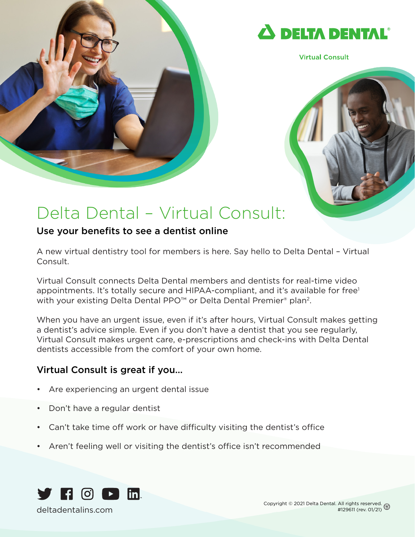



**Virtual Consult** 



# Delta Dental – Virtual Consult:

## Use your benefits to see a dentist online

A new virtual dentistry tool for members is here. Say hello to Delta Dental – Virtual Consult.

Virtual Consult connects Delta Dental members and dentists for real-time video appointments. It's totally secure and HIPAA-compliant, and it's available for free<sup>1</sup> with your existing Delta Dental PPO<sup>™</sup> or Delta Dental Premier® plan<sup>2</sup>.

When you have an urgent issue, even if it's after hours, Virtual Consult makes getting a dentist's advice simple. Even if you don't have a dentist that you see regularly, Virtual Consult makes urgent care, e-prescriptions and check-ins with Delta Dental dentists accessible from the comfort of your own home.

# Virtual Consult is great if you…

- Are experiencing an urgent dental issue
- Don't have a regular dentist
- Can't take time off work or have difficulty visiting the dentist's office
- Aren't feeling well or visiting the dentist's office isn't recommended